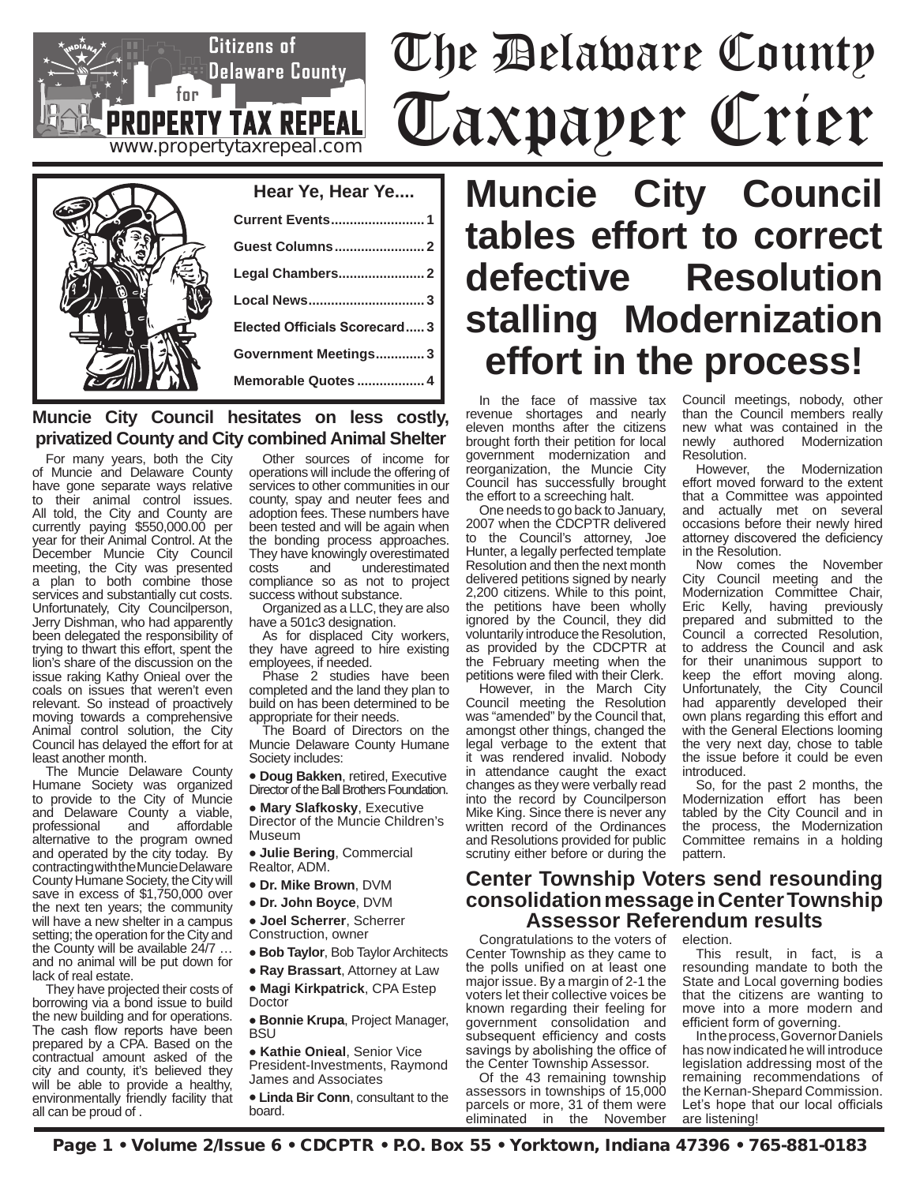# The Delaware County Taxpayer Crier



**www.propertytaxrepeal.com**

**PROPERTY TAX REPEAL** 

 $f_{\text{nr}}$ 

**Citizens of Delaware County** 

### **Muncie City Council hesitates on less costly, privatized County and City combined Animal Shelter**

For many years, both the City of Muncie and Delaware County have gone separate ways relative to their animal control issues. All told, the City and County are currently paying \$550,000.00 per year for their Animal Control. At the December Muncie City Council meeting, the City was presented a plan to both combine those services and substantially cut costs. Unfortunately, City Councilperson, Jerry Dishman, who had apparently been delegated the responsibility of trying to thwart this effort, spent the lion's share of the discussion on the issue raking Kathy Onieal over the coals on issues that weren't even relevant. So instead of proactively moving towards a comprehensive Animal control solution, the City Council has delayed the effort for at least another month.

The Muncie Delaware County Humane Society was organized to provide to the City of Muncie and Delaware County a viable,<br>professional and affordable professional and affordable alternative to the program owned and operated by the city today. By contracting with the Muncie Delaware County Humane Society, the City will save in excess of \$1,750,000 over the next ten years; the community will have a new shelter in a campus setting; the operation for the City and the County will be available 24/7 … and no animal will be put down for lack of real estate.

They have projected their costs of borrowing via a bond issue to build the new building and for operations. The cash flow reports have been prepared by a CPA. Based on the contractual amount asked of the city and county, it's believed they will be able to provide a healthy, environmentally friendly facility that all can be proud of .

Other sources of income for operations will include the offering of services to other communities in our county, spay and neuter fees and adoption fees. These numbers have been tested and will be again when the bonding process approaches. They have knowingly overestimated<br>costs and underestimated underestimated compliance so as not to project success without substance.

Organized as a LLC, they are also have a 501c3 designation.

As for displaced City workers, they have agreed to hire existing employees, if needed.

Phase 2 studies have been completed and the land they plan to build on has been determined to be appropriate for their needs.

The Board of Directors on the Muncie Delaware County Humane Society includes:

• **Doug Bakken**, retired, Executive Director of the Ball Brothers Foundation.

• **Mary Slafkosky**, Executive

Director of the Muncie Children's Museum

• **Julie Bering**, Commercial Realtor, ADM.

- **Dr. Mike Brown**, DVM
- **Dr. John Boyce**, DVM

• **Joel Scherrer**, Scherrer Construction, owner

- **Bob Taylor**, Bob Taylor Architects
- **Ray Brassart**, Attorney at Law

• **Magi Kirkpatrick**, CPA Estep Doctor

• **Bonnie Krupa**, Project Manager, **BSU** 

• **Kathie Onieal**, Senior Vice President-Investments, Raymond James and Associates

• **Linda Bir Conn**, consultant to the board.

**Muncie City Council tables effort to correct defective Resolution stalling Modernization effort in the process!**

In the face of massive tax revenue shortages and nearly eleven months after the citizens brought forth their petition for local government modernization and reorganization, the Muncie City Council has successfully brought the effort to a screeching halt.

One needs to go back to January, 2007 when the CDCPTR delivered to the Council's attorney, Joe Hunter, a legally perfected template Resolution and then the next month delivered petitions signed by nearly 2,200 citizens. While to this point, the petitions have been wholly ignored by the Council, they did voluntarily introduce the Resolution, as provided by the CDCPTR at the February meeting when the petitions were filed with their Clerk.

However, in the March City Council meeting the Resolution was "amended" by the Council that, amongst other things, changed the legal verbage to the extent that it was rendered invalid. Nobody in attendance caught the exact changes as they were verbally read into the record by Councilperson Mike King. Since there is never any written record of the Ordinances and Resolutions provided for public scrutiny either before or during the

Council meetings, nobody, other than the Council members really new what was contained in the newly authored Modernization

Resolution.<br>However, the Modernization effort moved forward to the extent that a Committee was appointed and actually met on several occasions before their newly hired attorney discovered the deficiency in the Resolution.

Now comes the November City Council meeting and the Modernization Committee Chair, Eric Kelly, having previously prepared and submitted to the Council a corrected Resolution, to address the Council and ask for their unanimous support to keep the effort moving along. Unfortunately, the City Council had apparently developed their own plans regarding this effort and with the General Elections looming the very next day, chose to table the issue before it could be even introduced.

So, for the past 2 months, the Modernization effort has been tabled by the City Council and in the process, the Modernization Committee remains in a holding pattern.

### **Center Township Voters send resounding consolidation message in Center Township Assessor Referendum results**

Congratulations to the voters of Center Township as they came to the polls unified on at least one major issue. By a margin of 2-1 the voters let their collective voices be known regarding their feeling for government consolidation and subsequent efficiency and costs savings by abolishing the office of the Center Township Assessor.

Of the 43 remaining township assessors in townships of 15,000 parcels or more, 31 of them were<br>eliminated in the November the November

election.

This result, in fact, is a resounding mandate to both the State and Local governing bodies that the citizens are wanting to move into a more modern and efficient form of governing.

In the process, Governor Daniels has now indicated he will introduce legislation addressing most of the remaining recommendations of the Kernan-Shepard Commission. Let's hope that our local officials are listening!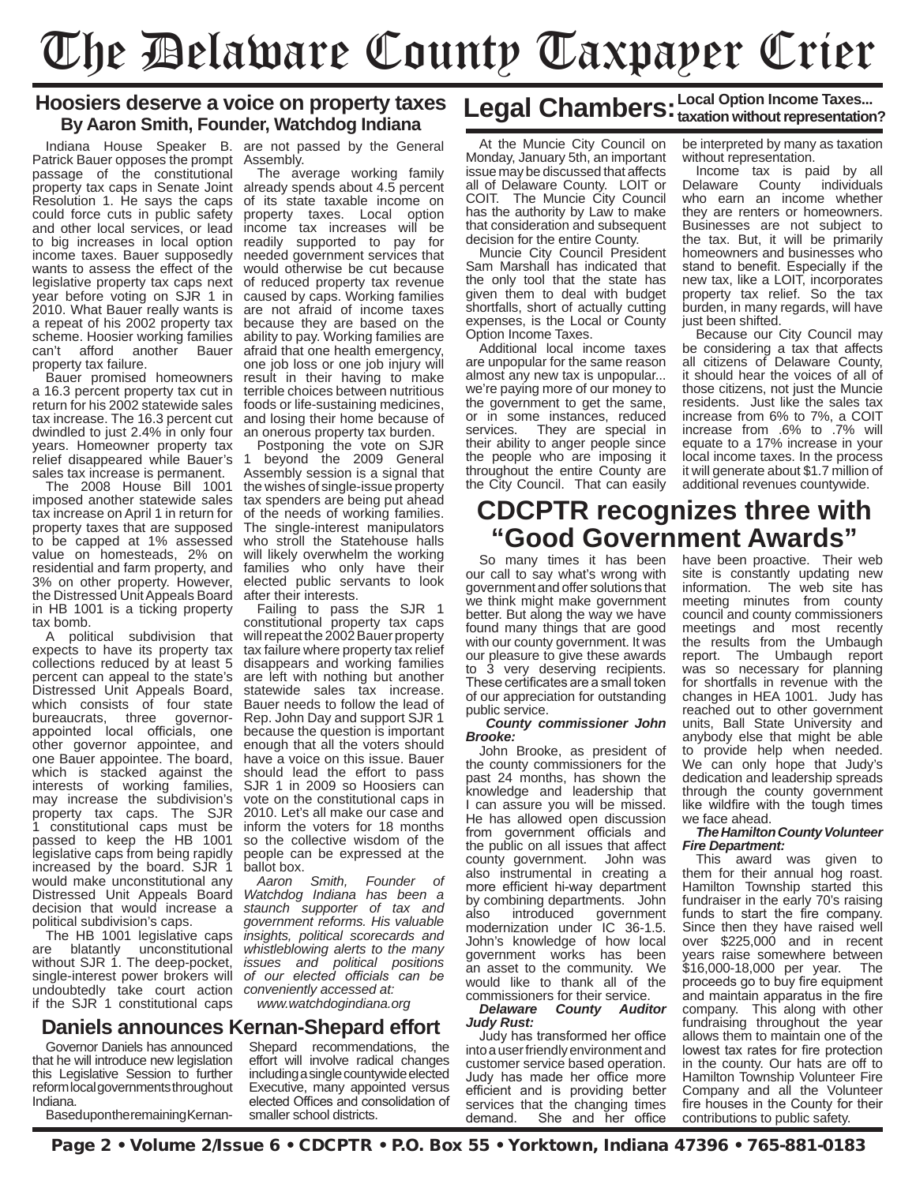# The Delaware County Taxpayer Crier

### **Hoosiers deserve a voice on property taxes By Aaron Smith, Founder, Watchdog Indiana**

Patrick Bauer opposes the prompt Assembly. passage of the constitutional property tax caps in Senate Joint already spends about 4.5 percent Resolution 1. He says the caps could force cuts in public safety and other local services, or lead to big increases in local option readily supported to pay for income taxes. Bauer supposedly wants to assess the effect of the legislative property tax caps next year before voting on SJR 1 in 2010. What Bauer really wants is a repeat of his 2002 property tax scheme. Hoosier working families<br>can't afford another Bauer afford another Bauer property tax failure.

Bauer promised homeowners a 16.3 percent property tax cut in return for his 2002 statewide sales tax increase. The 16.3 percent cut dwindled to just 2.4% in only four years. Homeowner property tax relief disappeared while Bauer's sales tax increase is permanent.

The 2008 House Bill 1001 imposed another statewide sales tax increase on April 1 in return for property taxes that are supposed to be capped at 1% assessed value on homesteads, 2% on residential and farm property, and 3% on other property. However, the Distressed Unit Appeals Board in HB 1001 is a ticking property tax bomb.

A political subdivision that expects to have its property tax collections reduced by at least 5 percent can appeal to the state's Distressed Unit Appeals Board, which consists of four state<br>bureaucrats, three governorbureaucrats, three appointed local officials, one other governor appointee, and one Bauer appointee. The board, which is stacked against the interests of working families, may increase the subdivision's property tax caps. The SJR 1 constitutional caps must be passed to keep the HB 1001 legislative caps from being rapidly increased by the board. SJR 1 would make unconstitutional any Distressed Unit Appeals Board decision that would increase a political subdivision's caps.

The HB 1001 legislative caps are blatantly unconstitutional without SJR 1. The deep-pocket, single-interest power brokers will undoubtedly take court action if the SJR 1 constitutional caps

Indiana House Speaker B. are not passed by the General

The average working family of its state taxable income on property taxes. Local option income tax increases will be needed government services that would otherwise be cut because of reduced property tax revenue caused by caps. Working families are not afraid of income taxes because they are based on the ability to pay. Working families are afraid that one health emergency, one job loss or one job injury will result in their having to make terrible choices between nutritious foods or life-sustaining medicines, and losing their home because of an onerous property tax burden.

Postponing the vote on SJR 1 beyond the 2009 General Assembly session is a signal that the wishes of single-issue property tax spenders are being put ahead of the needs of working families. The single-interest manipulators who stroll the Statehouse halls will likely overwhelm the working families who only have their elected public servants to look after their interests.

Failing to pass the SJR 1 constitutional property tax caps will repeat the 2002 Bauer property tax failure where property tax relief disappears and working families are left with nothing but another statewide sales tax increase. Bauer needs to follow the lead of Rep. John Day and support SJR 1 because the question is important enough that all the voters should have a voice on this issue. Bauer should lead the effort to pass SJR 1 in 2009 so Hoosiers can vote on the constitutional caps in 2010. Let's all make our case and inform the voters for 18 months so the collective wisdom of the people can be expressed at the ballot box.

*Aaron Smith, Founder of Watchdog Indiana has been a staunch supporter of tax and government reforms. His valuable insights, political scorecards and whistleblowing alerts to the many issues and political positions of our elected officials can be conveniently accessed at:*

*www.watchdogindiana.org*

### **Daniels announces Kernan-Shepard effort**

Governor Daniels has announced that he will introduce new legislation this Legislative Session to further reform local governments throughout Indiana.

Based upon the remaining Kernan-

Shepard recommendations, the effort will involve radical changes including a single countywide elected Executive, many appointed versus elected Offices and consolidation of smaller school districts.

## Legal Chambers: Local Option Income Taxes...<br> **Legal Chambers:** taxation without representation?

At the Muncie City Council on Monday, January 5th, an important issue may be discussed that affects all of Delaware County. LOIT or COIT. The Muncie City Council has the authority by Law to make that consideration and subsequent decision for the entire County.

Muncie City Council President Sam Marshall has indicated that the only tool that the state has given them to deal with budget shortfalls, short of actually cutting expenses, is the Local or County Option Income Taxes.

Additional local income taxes are unpopular for the same reason almost any new tax is unpopular... we're paying more of our money to the government to get the same, or in some instances, reduced<br>services. They are special in They are special in their ability to anger people since the people who are imposing it throughout the entire County are the City Council. That can easily be interpreted by many as taxation without representation.

Income tax is paid by all Delaware County individuals who earn an income whether they are renters or homeowners. Businesses are not subject to the tax. But, it will be primarily homeowners and businesses who stand to benefit. Especially if the new tax, like a LOIT, incorporates property tax relief. So the tax burden, in many regards, will have just been shifted.

Because our City Council may be considering a tax that affects all citizens of Delaware County, it should hear the voices of all of those citizens, not just the Muncie residents. Just like the sales tax increase from 6% to 7%, a COIT increase from .6% to .7% will equate to a 17% increase in your local income taxes. In the process it will generate about \$1.7 million of additional revenues countywide.

### **CDCPTR recognizes three with "Good Government Awards"**

So many times it has been our call to say what's wrong with government and offer solutions that we think might make government better. But along the way we have found many things that are good with our county government. It was our pleasure to give these awards to 3 very deserving recipients. These certificates are a small token of our appreciation for outstanding public service.

#### *County commissioner John Brooke:*

John Brooke, as president of the county commissioners for the past 24 months, has shown the knowledge and leadership that I can assure you will be missed. He has allowed open discussion from government officials and the public on all issues that affect county government. John was also instrumental in creating a more efficient hi-way department by combining departments. John<br>also introduced government introduced modernization under IC 36-1.5. John's knowledge of how local government works has been an asset to the community. We would like to thank all of the

#### commissioners for their service.<br>**Delaware County Audi**n **County Auditor** *Judy Rust:*

Judy has transformed her office into a user friendly environment and customer service based operation. Judy has made her office more efficient and is providing better services that the changing times<br>demand She and her office She and her office have been proactive. Their web site is constantly updating new information. The web site has meeting minutes from county council and county commissioners meetings and most recently the results from the Umbaugh report. The Umbaugh report was so necessary for planning for shortfalls in revenue with the changes in HEA 1001. Judy has reached out to other government units, Ball State University and anybody else that might be able to provide help when needed. We can only hope that Judy's dedication and leadership spreads through the county government like wildfire with the tough times we face ahead.

#### *The Hamilton County Volunteer Fire Department:*

This award was given to them for their annual hog roast. Hamilton Township started this fundraiser in the early 70's raising funds to start the fire company. Since then they have raised well over \$225,000 and in recent years raise somewhere between \$16,000-18,000 per year. The proceeds go to buy fire equipment and maintain apparatus in the fire company. This along with other fundraising throughout the year allows them to maintain one of the lowest tax rates for fire protection in the county. Our hats are off to Hamilton Township Volunteer Fire Company and all the Volunteer fire houses in the County for their contributions to public safety.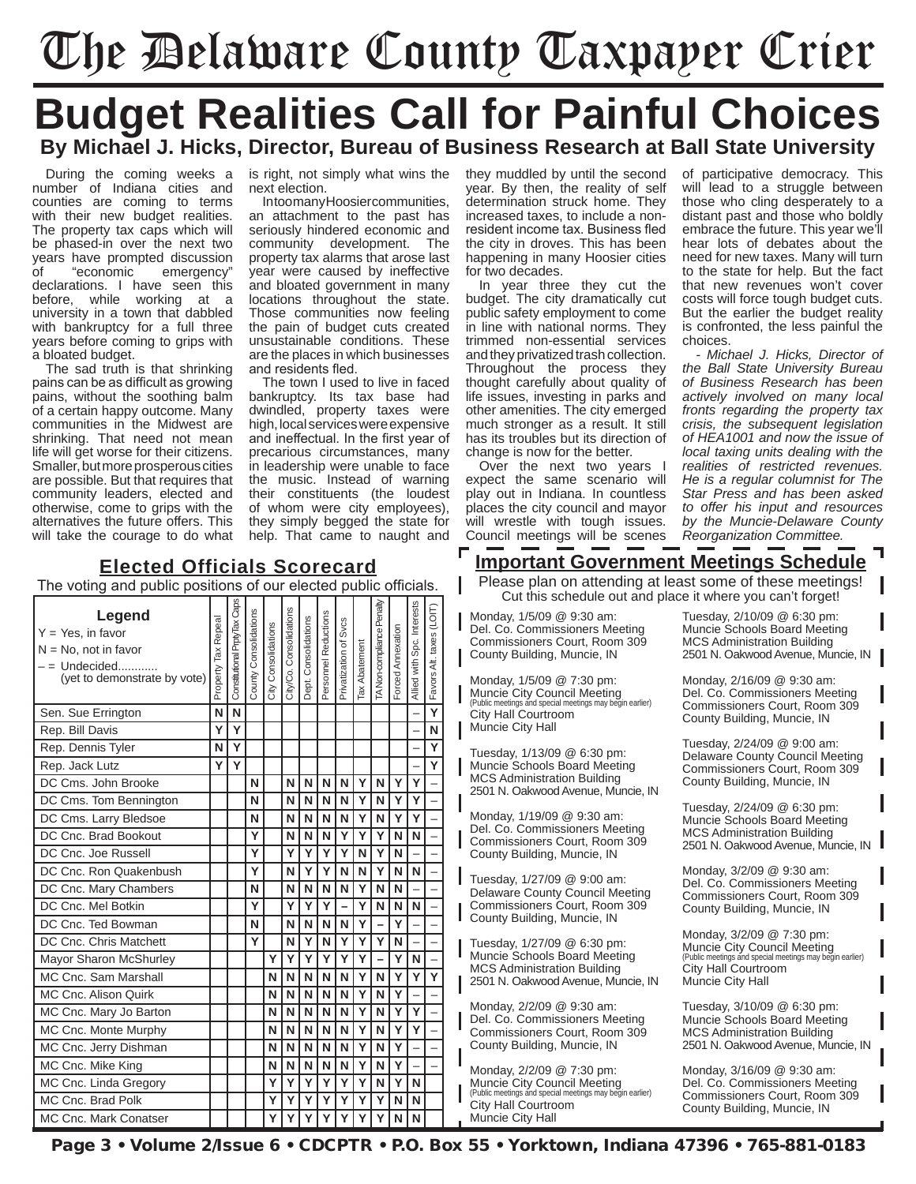# The Delaware County Taxpayer Crier

## **Budget Realities Call for Painful Choices By Michael J. Hicks, Director, Bureau of Business Research at Ball State University**

During the coming weeks a number of Indiana cities and counties are coming to terms with their new budget realities. The property tax caps which will be phased-in over the next two years have prompted discussion<br>of "economic emergency" of "economic emergency" declarations. I have seen this before, while working at a university in a town that dabbled with bankruptcy for a full three years before coming to grips with a bloated budget.

The sad truth is that shrinking pains can be as difficult as growing pains, without the soothing balm of a certain happy outcome. Many communities in the Midwest are shrinking. That need not mean life will get worse for their citizens. Smaller, but more prosperous cities are possible. But that requires that community leaders, elected and otherwise, come to grips with the alternatives the future offers. This will take the courage to do what is right, not simply what wins the next election.

Intoomany Hoosier communities. an attachment to the past has seriously hindered economic and community development. The property tax alarms that arose last year were caused by ineffective and bloated government in many locations throughout the state. Those communities now feeling the pain of budget cuts created unsustainable conditions. These are the places in which businesses and residents fled.

The town I used to live in faced bankruptcy. Its tax base had dwindled, property taxes were high, local services were expensive and ineffectual. In the first year of precarious circumstances, many in leadership were unable to face the music. Instead of warning their constituents (the loudest of whom were city employees), they simply begged the state for help. That came to naught and

they muddled by until the second year. By then, the reality of self determination struck home. They increased taxes, to include a nonresident income tax. Business fled the city in droves. This has been happening in many Hoosier cities for two decades.

In year three they cut the budget. The city dramatically cut public safety employment to come in line with national norms. They trimmed non-essential services and they privatized trash collection. Throughout the process they thought carefully about quality of life issues, investing in parks and other amenities. The city emerged much stronger as a result. It still has its troubles but its direction of change is now for the better.

Over the next two years I expect the same scenario will play out in Indiana. In countless places the city council and mayor will wrestle with tough issues. Council meetings will be scenes of participative democracy. This will lead to a struggle between those who cling desperately to a distant past and those who boldly embrace the future. This year we'll hear lots of debates about the need for new taxes. Many will turn to the state for help. But the fact that new revenues won't cover costs will force tough budget cuts. But the earlier the budget reality is confronted, the less painful the choices.

*- Michael J. Hicks, Director of the Ball State University Bureau of Business Research has been actively involved on many local fronts regarding the property tax crisis, the subsequent legislation of HEA1001 and now the issue of local taxing units dealing with the realities of restricted revenues. He is a regular columnist for The Star Press and has been asked to offer his input and resources by the Muncie-Delaware County Reorganization Committee.*

### **Important Government Meetings Schedule**

Please plan on attending at least some of these meetings! Cut this schedule out and place it where you can't forget!

Monday, 1/5/09 @ 9:30 am: Del. Co. Commissioners Meeting Commissioners Court, Room 309 County Building, Muncie, IN

Monday, 1/5/09 @ 7:30 pm: Muncie City Council Meeting (Public meetings and special meetings may begin earlier) City Hall Courtroom Muncie City Hall

Tuesday, 1/13/09 @ 6:30 pm: Muncie Schools Board Meeting MCS Administration Building 2501 N. Oakwood Avenue, Muncie, IN

Monday, 1/19/09 @ 9:30 am: Del. Co. Commissioners Meeting Commissioners Court, Room 309 County Building, Muncie, IN

Tuesday, 1/27/09 @ 9:00 am: Delaware County Council Meeting Commissioners Court, Room 309 County Building, Muncie, IN

Tuesday, 1/27/09 @ 6:30 pm: Muncie Schools Board Meeting MCS Administration Building 2501 N. Oakwood Avenue, Muncie, IN

Monday, 2/2/09 @ 9:30 am: Del. Co. Commissioners Meeting Commissioners Court, Room 309 County Building, Muncie, IN

Monday, 2/2/09 @ 7:30 pm: Muncie City Council Meeting (Public meetings and special meetings may begin earlier) City Hall Courtroom Muncie City Hall

Tuesday, 2/10/09 @ 6:30 pm: Muncie Schools Board Meeting MCS Administration Building 2501 N. Oakwood Avenue, Muncie, IN

Monday, 2/16/09 @ 9:30 am: Del. Co. Commissioners Meeting Commissioners Court, Room 309 County Building, Muncie, IN

Tuesday, 2/24/09 @ 9:00 am: Delaware County Council Meeting Commissioners Court, Room 309 County Building, Muncie, IN

Tuesday, 2/24/09 @ 6:30 pm: Muncie Schools Board Meeting MCS Administration Building 2501 N. Oakwood Avenue, Muncie, IN

Monday, 3/2/09 @ 9:30 am: Del. Co. Commissioners Meeting Commissioners Court, Room 309 County Building, Muncie, IN

Monday, 3/2/09 @ 7:30 pm: Muncie City Council Meeting (Public meetings and special meetings may begin earlier) City Hall Courtroom Muncie City Hall

Tuesday, 3/10/09 @ 6:30 pm: Muncie Schools Board Meeting MCS Administration Building 2501 N. Oakwood Avenue, Muncie, IN

Monday, 3/16/09 @ 9:30 am: Del. Co. Commissioners Meeting Commissioners Court, Room 309 County Building, Muncie, IN

| Legend<br>$Y = Yes$ , in favor<br>$N = No$ , not in favor<br>(yet to demonstrate by vote) | Property Tax Repeal | Constitutional PrptyTax Caps | County Consolidations | City Consolidations | City/Co. Consolidations | Dept. Consolidations | Personnel Reductions | Privatization of Svcs | Tax Abatement | TA Non-compliance Penalty | Forced Annexation | Allied with Spc. Interests | Favors Alt. taxes (LOIT) |
|-------------------------------------------------------------------------------------------|---------------------|------------------------------|-----------------------|---------------------|-------------------------|----------------------|----------------------|-----------------------|---------------|---------------------------|-------------------|----------------------------|--------------------------|
| Sen. Sue Errington                                                                        | N                   | N                            |                       |                     |                         |                      |                      |                       |               |                           |                   |                            | $\overline{\mathsf{Y}}$  |
| Rep. Bill Davis                                                                           | Υ                   | Y                            |                       |                     |                         |                      |                      |                       |               |                           |                   |                            | N                        |
| Rep. Dennis Tyler                                                                         | N                   | Y                            |                       |                     |                         |                      |                      |                       |               |                           |                   |                            | Y                        |
| Rep. Jack Lutz                                                                            | Y                   | Y                            |                       |                     |                         |                      |                      |                       |               |                           |                   |                            | Y                        |
| DC Cms. John Brooke                                                                       |                     |                              | N                     |                     | N                       | N                    | N                    | N                     | Y             | N                         | Y                 | Y                          |                          |
| DC Cms. Tom Bennington                                                                    |                     |                              | N                     |                     | N                       | N                    | N                    | N                     | Ý             | N                         | Y                 | Y                          |                          |
| DC Cms. Larry Bledsoe                                                                     |                     |                              | N                     |                     | N                       | N                    | N                    | N                     | Y             | N                         | Y                 | Y                          |                          |
| DC Cnc. Brad Bookout                                                                      |                     |                              | Y                     |                     | N                       | N                    | N                    | Y                     | Ý             | Y                         | N                 | N                          |                          |
| DC Cnc. Joe Russell                                                                       |                     |                              | Y                     |                     | Y                       | Y                    | Y                    | Ý                     | N             | Ý                         | N                 |                            |                          |
| DC Cnc. Ron Quakenbush                                                                    |                     |                              | Y                     |                     | N                       | Y                    | Y                    | N                     | N             | Y                         | N                 | N                          |                          |
| DC Cnc. Mary Chambers                                                                     |                     |                              | N                     |                     | N                       | N                    | N                    | N                     | Y             | N                         | N                 |                            |                          |
| DC Cnc. Mel Botkin                                                                        |                     |                              | Y                     |                     | Y                       | Y                    | Ý                    |                       | Ý             | N                         | N                 | N                          |                          |
| DC Cnc. Ted Bowman                                                                        |                     |                              | N                     |                     | N                       | N                    | N                    | N                     | Y             |                           | Y                 |                            |                          |
| DC Cnc. Chris Matchett                                                                    |                     |                              | Y                     |                     | N                       | Y                    | N                    | Y                     | Ý             | Y                         | N                 |                            |                          |
| Mayor Sharon McShurley                                                                    |                     |                              |                       | Y                   | Y                       | Y                    | Y                    | Y                     | Y             |                           | Ý                 | N                          |                          |
| MC Cnc. Sam Marshall                                                                      |                     |                              |                       | N                   | N                       | N                    | N                    | N                     | Ý             | N                         | Ý                 | Y                          | $\overline{\mathsf{Y}}$  |
| MC Cnc. Alison Quirk                                                                      |                     |                              |                       | N                   | N                       | N                    | N                    | N                     | Ý             | N                         | Ý                 |                            |                          |
| MC Cnc. Mary Jo Barton                                                                    |                     |                              |                       | N                   | N                       | N                    | N                    | N                     | Ÿ             | N                         | Ý                 | Ý                          |                          |
| MC Cnc. Monte Murphy                                                                      |                     |                              |                       | N                   | N                       | N                    | N                    | N                     | Y             | N                         | Y                 | Ý                          |                          |
| MC Cnc. Jerry Dishman                                                                     |                     |                              |                       | N                   | N                       | N                    | N                    | N                     | Ý             | N                         | Ý                 |                            |                          |
| MC Cnc. Mike King                                                                         |                     |                              |                       | N                   | N                       | N                    | N                    | N                     | Ý             | N                         | Ý                 |                            |                          |
| MC Cnc. Linda Gregory                                                                     |                     |                              |                       | Ý                   | Y                       | Y                    | Ý                    | Y                     | Ý             | N                         | Ý                 | N                          |                          |
| MC Cnc. Brad Polk                                                                         |                     |                              |                       | Y                   | Y                       | Υ                    | Y                    | Y                     | Y             | Y                         | N                 | N                          |                          |
| MC Cnc. Mark Conatser                                                                     |                     |                              |                       | Ý                   | Ý                       | Y                    | Y                    | Ý                     | Ý             | Ý                         | N                 | N                          |                          |

Page 3 • Volume 2/Issue 6 • CDCPTR • P.O. Box 55 • Yorktown, Indiana 47396 • 765-881-0183

### **Elected Officials Scorecard** The voting and public positions of our elected public officials.